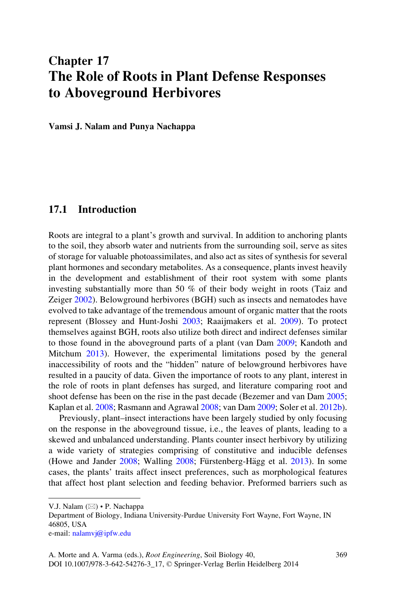# Chapter 17 The Role of Roots in Plant Defense Responses to Aboveground Herbivores

Vamsi J. Nalam and Punya Nachappa

# 17.1 Introduction

Roots are integral to a plant's growth and survival. In addition to anchoring plants to the soil, they absorb water and nutrients from the surrounding soil, serve as sites of storage for valuable photoassimilates, and also act as sites of synthesis for several plant hormones and secondary metabolites. As a consequence, plants invest heavily in the development and establishment of their root system with some plants investing substantially more than 50 % of their body weight in roots (Taiz and Zeiger [2002\)](#page-14-0). Belowground herbivores (BGH) such as insects and nematodes have evolved to take advantage of the tremendous amount of organic matter that the roots represent (Blossey and Hunt-Joshi [2003;](#page-10-0) Raaijmakers et al. [2009](#page-13-0)). To protect themselves against BGH, roots also utilize both direct and indirect defenses similar to those found in the aboveground parts of a plant (van Dam [2009](#page-14-0); Kandoth and Mitchum [2013\)](#page-12-0). However, the experimental limitations posed by the general inaccessibility of roots and the "hidden" nature of belowground herbivores have resulted in a paucity of data. Given the importance of roots to any plant, interest in the role of roots in plant defenses has surged, and literature comparing root and shoot defense has been on the rise in the past decade (Bezemer and van Dam [2005;](#page-10-0) Kaplan et al. [2008;](#page-12-0) Rasmann and Agrawal [2008;](#page-13-0) van Dam [2009;](#page-14-0) Soler et al. [2012b\)](#page-14-0).

Previously, plant–insect interactions have been largely studied by only focusing on the response in the aboveground tissue, i.e., the leaves of plants, leading to a skewed and unbalanced understanding. Plants counter insect herbivory by utilizing a wide variety of strategies comprising of constitutive and inducible defenses (Howe and Jander  $2008$ ; Walling  $2008$ ; Fürstenberg-Hägg et al.  $2013$ ). In some cases, the plants' traits affect insect preferences, such as morphological features that affect host plant selection and feeding behavior. Preformed barriers such as

V.J. Nalam ( $\boxtimes$ ) • P. Nachappa

Department of Biology, Indiana University-Purdue University Fort Wayne, Fort Wayne, IN 46805, USA

e-mail: [nalamvj@ipfw.edu](mailto:nalamvj@ipfw.edu)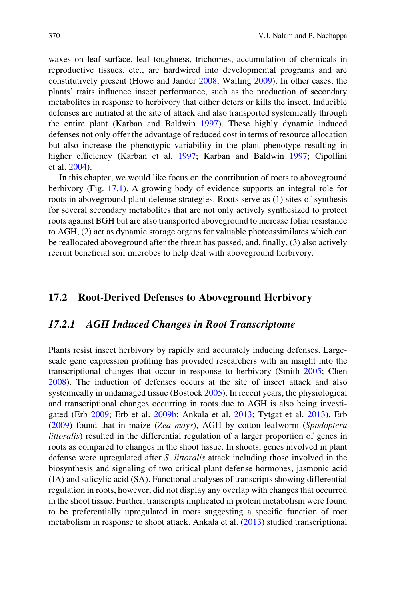waxes on leaf surface, leaf toughness, trichomes, accumulation of chemicals in reproductive tissues, etc., are hardwired into developmental programs and are constitutively present (Howe and Jander [2008;](#page-12-0) Walling [2009](#page-15-0)). In other cases, the plants' traits influence insect performance, such as the production of secondary metabolites in response to herbivory that either deters or kills the insect. Inducible defenses are initiated at the site of attack and also transported systemically through the entire plant (Karban and Baldwin [1997](#page-12-0)). These highly dynamic induced defenses not only offer the advantage of reduced cost in terms of resource allocation but also increase the phenotypic variability in the plant phenotype resulting in higher efficiency (Karban et al. [1997;](#page-12-0) Karban and Baldwin [1997](#page-12-0); Cipollini et al. [2004](#page-11-0)).

In this chapter, we would like focus on the contribution of roots to aboveground herbivory (Fig. [17.1\)](#page-2-0). A growing body of evidence supports an integral role for roots in aboveground plant defense strategies. Roots serve as (1) sites of synthesis for several secondary metabolites that are not only actively synthesized to protect roots against BGH but are also transported aboveground to increase foliar resistance to AGH, (2) act as dynamic storage organs for valuable photoassimilates which can be reallocated aboveground after the threat has passed, and, finally, (3) also actively recruit beneficial soil microbes to help deal with aboveground herbivory.

# 17.2 Root-Derived Defenses to Aboveground Herbivory

### 17.2.1 AGH Induced Changes in Root Transcriptome

Plants resist insect herbivory by rapidly and accurately inducing defenses. Largescale gene expression profiling has provided researchers with an insight into the transcriptional changes that occur in response to herbivory (Smith [2005](#page-14-0); Chen [2008\)](#page-11-0). The induction of defenses occurs at the site of insect attack and also systemically in undamaged tissue (Bostock [2005\)](#page-11-0). In recent years, the physiological and transcriptional changes occurring in roots due to AGH is also being investigated (Erb [2009](#page-11-0); Erb et al. [2009b;](#page-11-0) Ankala et al. [2013;](#page-10-0) Tytgat et al. [2013](#page-14-0)). Erb [\(2009](#page-11-0)) found that in maize (Zea mays), AGH by cotton leafworm (Spodoptera littoralis) resulted in the differential regulation of a larger proportion of genes in roots as compared to changes in the shoot tissue. In shoots, genes involved in plant defense were upregulated after S. littoralis attack including those involved in the biosynthesis and signaling of two critical plant defense hormones, jasmonic acid (JA) and salicylic acid (SA). Functional analyses of transcripts showing differential regulation in roots, however, did not display any overlap with changes that occurred in the shoot tissue. Further, transcripts implicated in protein metabolism were found to be preferentially upregulated in roots suggesting a specific function of root metabolism in response to shoot attack. Ankala et al. ([2013](#page-10-0)) studied transcriptional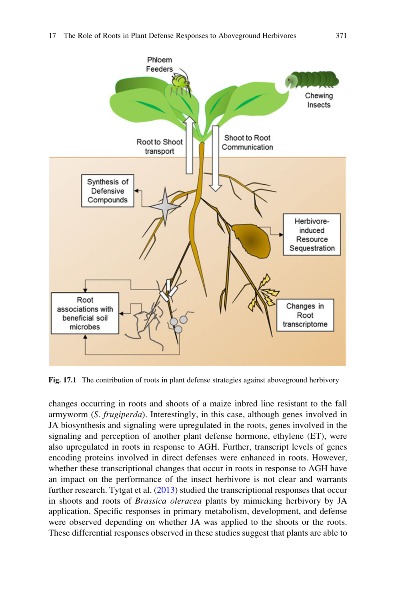<span id="page-2-0"></span>

Fig. 17.1 The contribution of roots in plant defense strategies against aboveground herbivory

changes occurring in roots and shoots of a maize inbred line resistant to the fall armyworm (S. frugiperda). Interestingly, in this case, although genes involved in JA biosynthesis and signaling were upregulated in the roots, genes involved in the signaling and perception of another plant defense hormone, ethylene (ET), were also upregulated in roots in response to AGH. Further, transcript levels of genes encoding proteins involved in direct defenses were enhanced in roots. However, whether these transcriptional changes that occur in roots in response to AGH have an impact on the performance of the insect herbivore is not clear and warrants further research. Tytgat et al. [\(2013](#page-14-0)) studied the transcriptional responses that occur in shoots and roots of Brassica oleracea plants by mimicking herbivory by JA application. Specific responses in primary metabolism, development, and defense were observed depending on whether JA was applied to the shoots or the roots. These differential responses observed in these studies suggest that plants are able to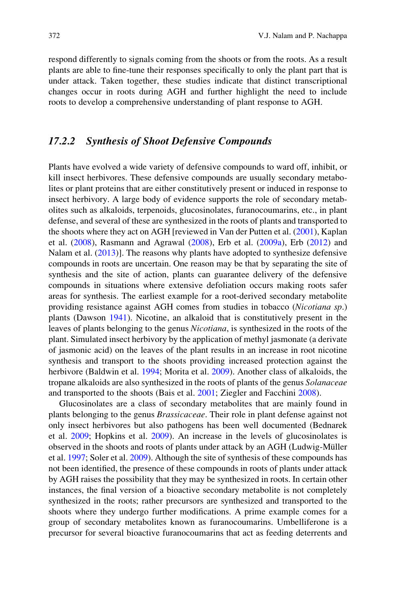respond differently to signals coming from the shoots or from the roots. As a result plants are able to fine-tune their responses specifically to only the plant part that is under attack. Taken together, these studies indicate that distinct transcriptional changes occur in roots during AGH and further highlight the need to include roots to develop a comprehensive understanding of plant response to AGH.

# 17.2.2 Synthesis of Shoot Defensive Compounds

Plants have evolved a wide variety of defensive compounds to ward off, inhibit, or kill insect herbivores. These defensive compounds are usually secondary metabolites or plant proteins that are either constitutively present or induced in response to insect herbivory. A large body of evidence supports the role of secondary metabolites such as alkaloids, terpenoids, glucosinolates, furanocoumarins, etc., in plant defense, and several of these are synthesized in the roots of plants and transported to the shoots where they act on AGH [reviewed in Van der Putten et al. ([2001\)](#page-14-0), Kaplan et al. ([2008\)](#page-12-0), Rasmann and Agrawal [\(2008](#page-13-0)), Erb et al. [\(2009a\)](#page-11-0), Erb ([2012\)](#page-11-0) and Nalam et al. ([2013\)](#page-13-0)]. The reasons why plants have adopted to synthesize defensive compounds in roots are uncertain. One reason may be that by separating the site of synthesis and the site of action, plants can guarantee delivery of the defensive compounds in situations where extensive defoliation occurs making roots safer areas for synthesis. The earliest example for a root-derived secondary metabolite providing resistance against AGH comes from studies in tobacco (Nicotiana sp.) plants (Dawson [1941](#page-11-0)). Nicotine, an alkaloid that is constitutively present in the leaves of plants belonging to the genus Nicotiana, is synthesized in the roots of the plant. Simulated insect herbivory by the application of methyl jasmonate (a derivate of jasmonic acid) on the leaves of the plant results in an increase in root nicotine synthesis and transport to the shoots providing increased protection against the herbivore (Baldwin et al. [1994](#page-10-0); Morita et al. [2009\)](#page-13-0). Another class of alkaloids, the tropane alkaloids are also synthesized in the roots of plants of the genus Solanaceae and transported to the shoots (Bais et al. [2001](#page-10-0); Ziegler and Facchini [2008](#page-15-0)).

Glucosinolates are a class of secondary metabolites that are mainly found in plants belonging to the genus Brassicaceae. Their role in plant defense against not only insect herbivores but also pathogens has been well documented (Bednarek et al. [2009;](#page-10-0) Hopkins et al. [2009\)](#page-12-0). An increase in the levels of glucosinolates is observed in the shoots and roots of plants under attack by an AGH (Ludwig-Müller et al. [1997;](#page-12-0) Soler et al. [2009](#page-14-0)). Although the site of synthesis of these compounds has not been identified, the presence of these compounds in roots of plants under attack by AGH raises the possibility that they may be synthesized in roots. In certain other instances, the final version of a bioactive secondary metabolite is not completely synthesized in the roots; rather precursors are synthesized and transported to the shoots where they undergo further modifications. A prime example comes for a group of secondary metabolites known as furanocoumarins. Umbelliferone is a precursor for several bioactive furanocoumarins that act as feeding deterrents and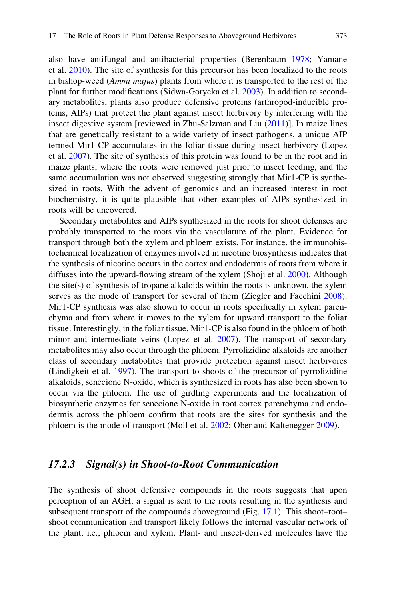also have antifungal and antibacterial properties (Berenbaum [1978;](#page-10-0) Yamane et al. [2010](#page-15-0)). The site of synthesis for this precursor has been localized to the roots in bishop-weed (Ammi majus) plants from where it is transported to the rest of the plant for further modifications (Sidwa-Gorycka et al. [2003\)](#page-14-0). In addition to secondary metabolites, plants also produce defensive proteins (arthropod-inducible proteins, AIPs) that protect the plant against insect herbivory by interfering with the insect digestive system [reviewed in Zhu-Salzman and Liu ([2011\)](#page-15-0)]. In maize lines that are genetically resistant to a wide variety of insect pathogens, a unique AIP termed Mir1-CP accumulates in the foliar tissue during insect herbivory (Lopez et al. [2007](#page-12-0)). The site of synthesis of this protein was found to be in the root and in maize plants, where the roots were removed just prior to insect feeding, and the same accumulation was not observed suggesting strongly that Mir1-CP is synthesized in roots. With the advent of genomics and an increased interest in root biochemistry, it is quite plausible that other examples of AIPs synthesized in roots will be uncovered.

Secondary metabolites and AIPs synthesized in the roots for shoot defenses are probably transported to the roots via the vasculature of the plant. Evidence for transport through both the xylem and phloem exists. For instance, the immunohistochemical localization of enzymes involved in nicotine biosynthesis indicates that the synthesis of nicotine occurs in the cortex and endodermis of roots from where it diffuses into the upward-flowing stream of the xylem (Shoji et al. [2000](#page-14-0)). Although the site(s) of synthesis of tropane alkaloids within the roots is unknown, the xylem serves as the mode of transport for several of them (Ziegler and Facchini [2008\)](#page-15-0). Mir1-CP synthesis was also shown to occur in roots specifically in xylem parenchyma and from where it moves to the xylem for upward transport to the foliar tissue. Interestingly, in the foliar tissue, Mir1-CP is also found in the phloem of both minor and intermediate veins (Lopez et al. [2007](#page-12-0)). The transport of secondary metabolites may also occur through the phloem. Pyrrolizidine alkaloids are another class of secondary metabolites that provide protection against insect herbivores (Lindigkeit et al. [1997](#page-12-0)). The transport to shoots of the precursor of pyrrolizidine alkaloids, senecione N-oxide, which is synthesized in roots has also been shown to occur via the phloem. The use of girdling experiments and the localization of biosynthetic enzymes for senecione N-oxide in root cortex parenchyma and endodermis across the phloem confirm that roots are the sites for synthesis and the phloem is the mode of transport (Moll et al. [2002;](#page-13-0) Ober and Kaltenegger [2009](#page-13-0)).

#### 17.2.3 Signal(s) in Shoot-to-Root Communication

The synthesis of shoot defensive compounds in the roots suggests that upon perception of an AGH, a signal is sent to the roots resulting in the synthesis and subsequent transport of the compounds aboveground (Fig. [17.1\)](#page-2-0). This shoot–root– shoot communication and transport likely follows the internal vascular network of the plant, i.e., phloem and xylem. Plant- and insect-derived molecules have the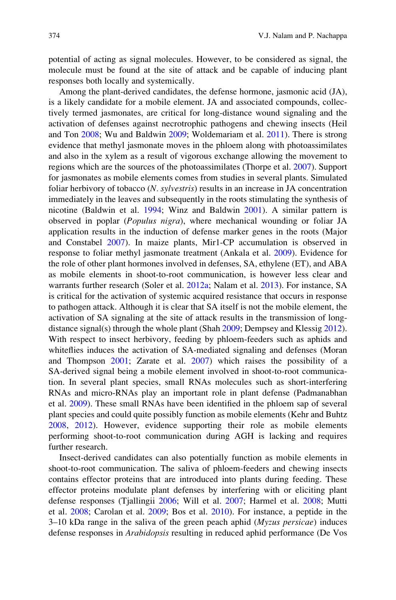potential of acting as signal molecules. However, to be considered as signal, the molecule must be found at the site of attack and be capable of inducing plant responses both locally and systemically.

Among the plant-derived candidates, the defense hormone, jasmonic acid (JA), is a likely candidate for a mobile element. JA and associated compounds, collectively termed jasmonates, are critical for long-distance wound signaling and the activation of defenses against necrotrophic pathogens and chewing insects (Heil and Ton [2008](#page-11-0); Wu and Baldwin [2009](#page-15-0); Woldemariam et al. [2011](#page-15-0)). There is strong evidence that methyl jasmonate moves in the phloem along with photoassimilates and also in the xylem as a result of vigorous exchange allowing the movement to regions which are the sources of the photoassimilates (Thorpe et al. [2007\)](#page-14-0). Support for jasmonates as mobile elements comes from studies in several plants. Simulated foliar herbivory of tobacco (N. sylvestris) results in an increase in JA concentration immediately in the leaves and subsequently in the roots stimulating the synthesis of nicotine (Baldwin et al. [1994](#page-10-0); Winz and Baldwin [2001](#page-15-0)). A similar pattern is observed in poplar (Populus nigra), where mechanical wounding or foliar JA application results in the induction of defense marker genes in the roots (Major and Constabel [2007\)](#page-12-0). In maize plants, Mir1-CP accumulation is observed in response to foliar methyl jasmonate treatment (Ankala et al. [2009](#page-10-0)). Evidence for the role of other plant hormones involved in defenses, SA, ethylene (ET), and ABA as mobile elements in shoot-to-root communication, is however less clear and warrants further research (Soler et al. [2012a;](#page-14-0) Nalam et al. [2013](#page-13-0)). For instance, SA is critical for the activation of systemic acquired resistance that occurs in response to pathogen attack. Although it is clear that SA itself is not the mobile element, the activation of SA signaling at the site of attack results in the transmission of long-distance signal(s) through the whole plant (Shah [2009;](#page-14-0) Dempsey and Klessig [2012\)](#page-11-0). With respect to insect herbivory, feeding by phloem-feeders such as aphids and whiteflies induces the activation of SA-mediated signaling and defenses (Moran and Thompson [2001;](#page-13-0) Zarate et al. [2007](#page-15-0)) which raises the possibility of a SA-derived signal being a mobile element involved in shoot-to-root communication. In several plant species, small RNAs molecules such as short-interfering RNAs and micro-RNAs play an important role in plant defense (Padmanabhan et al. [2009\)](#page-13-0). These small RNAs have been identified in the phloem sap of several plant species and could quite possibly function as mobile elements (Kehr and Buhtz [2008,](#page-12-0) [2012\)](#page-12-0). However, evidence supporting their role as mobile elements performing shoot-to-root communication during AGH is lacking and requires further research.

Insect-derived candidates can also potentially function as mobile elements in shoot-to-root communication. The saliva of phloem-feeders and chewing insects contains effector proteins that are introduced into plants during feeding. These effector proteins modulate plant defenses by interfering with or eliciting plant defense responses (Tjallingii [2006](#page-14-0); Will et al. [2007](#page-15-0); Harmel et al. [2008](#page-11-0); Mutti et al. [2008](#page-13-0); Carolan et al. [2009](#page-11-0); Bos et al. [2010](#page-10-0)). For instance, a peptide in the  $3-10$  kDa range in the saliva of the green peach aphid (Myzus persicae) induces defense responses in Arabidopsis resulting in reduced aphid performance (De Vos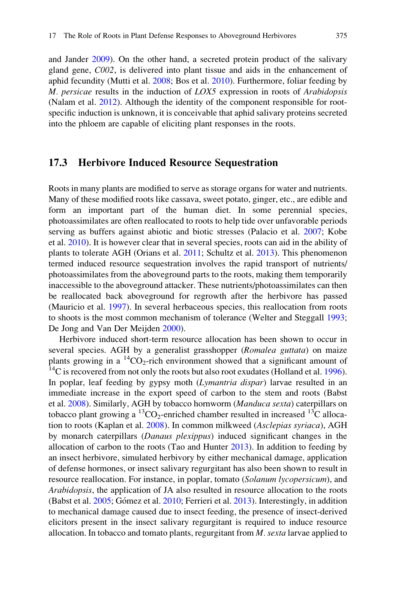and Jander [2009](#page-11-0)). On the other hand, a secreted protein product of the salivary gland gene, C002, is delivered into plant tissue and aids in the enhancement of aphid fecundity (Mutti et al. [2008](#page-13-0); Bos et al. [2010](#page-10-0)). Furthermore, foliar feeding by M. persicae results in the induction of LOX5 expression in roots of Arabidopsis (Nalam et al. [2012\)](#page-13-0). Although the identity of the component responsible for rootspecific induction is unknown, it is conceivable that aphid salivary proteins secreted into the phloem are capable of eliciting plant responses in the roots.

# 17.3 Herbivore Induced Resource Sequestration

Roots in many plants are modified to serve as storage organs for water and nutrients. Many of these modified roots like cassava, sweet potato, ginger, etc., are edible and form an important part of the human diet. In some perennial species, photoassimilates are often reallocated to roots to help tide over unfavorable periods serving as buffers against abiotic and biotic stresses (Palacio et al. [2007](#page-13-0); Kobe et al. [2010](#page-12-0)). It is however clear that in several species, roots can aid in the ability of plants to tolerate AGH (Orians et al. [2011;](#page-13-0) Schultz et al. [2013\)](#page-13-0). This phenomenon termed induced resource sequestration involves the rapid transport of nutrients/ photoassimilates from the aboveground parts to the roots, making them temporarily inaccessible to the aboveground attacker. These nutrients/photoassimilates can then be reallocated back aboveground for regrowth after the herbivore has passed (Mauricio et al. [1997](#page-12-0)). In several herbaceous species, this reallocation from roots to shoots is the most common mechanism of tolerance (Welter and Steggall [1993;](#page-15-0) De Jong and Van Der Meijden [2000](#page-11-0)).

Herbivore induced short-term resource allocation has been shown to occur in several species. AGH by a generalist grasshopper (Romalea guttata) on maize plants growing in a <sup>14</sup>CO<sub>2</sub>-rich environment showed that a significant amount of <sup>14</sup>C is recovered from not only the roots but also root exudates (Holland et al. [1996\)](#page-12-0). In poplar, leaf feeding by gypsy moth (Lymantria dispar) larvae resulted in an immediate increase in the export speed of carbon to the stem and roots (Babst et al. [2008](#page-10-0)). Similarly, AGH by tobacco hornworm (Manduca sexta) caterpillars on tobacco plant growing a <sup>13</sup>CO<sub>2</sub>-enriched chamber resulted in increased <sup>13</sup>C allocation to roots (Kaplan et al. [2008](#page-12-0)). In common milkweed (Asclepias syriaca), AGH by monarch caterpillars (Danaus plexippus) induced significant changes in the allocation of carbon to the roots (Tao and Hunter [2013](#page-14-0)). In addition to feeding by an insect herbivore, simulated herbivory by either mechanical damage, application of defense hormones, or insect salivary regurgitant has also been shown to result in resource reallocation. For instance, in poplar, tomato (Solanum lycopersicum), and Arabidopsis, the application of JA also resulted in resource allocation to the roots (Babst et al. [2005](#page-10-0); Gómez et al. [2010;](#page-11-0) Ferrieri et al. [2013](#page-11-0)). Interestingly, in addition to mechanical damage caused due to insect feeding, the presence of insect-derived elicitors present in the insect salivary regurgitant is required to induce resource allocation. In tobacco and tomato plants, regurgitant from  $M$ . sexta larvae applied to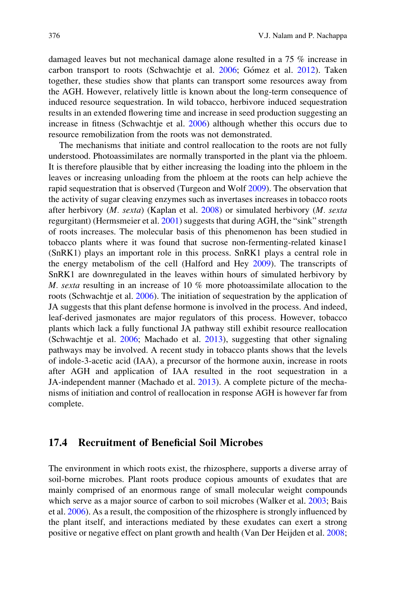damaged leaves but not mechanical damage alone resulted in a 75 % increase in carbon transport to roots (Schwachtje et al. [2006;](#page-13-0) Gómez et al. [2012](#page-11-0)). Taken together, these studies show that plants can transport some resources away from the AGH. However, relatively little is known about the long-term consequence of induced resource sequestration. In wild tobacco, herbivore induced sequestration results in an extended flowering time and increase in seed production suggesting an increase in fitness (Schwachtje et al. [2006](#page-13-0)) although whether this occurs due to resource remobilization from the roots was not demonstrated.

The mechanisms that initiate and control reallocation to the roots are not fully understood. Photoassimilates are normally transported in the plant via the phloem. It is therefore plausible that by either increasing the loading into the phloem in the leaves or increasing unloading from the phloem at the roots can help achieve the rapid sequestration that is observed (Turgeon and Wolf [2009](#page-14-0)). The observation that the activity of sugar cleaving enzymes such as invertases increases in tobacco roots after herbivory  $(M. \, \text{sexta})$  (Kaplan et al.  $2008$ ) or simulated herbivory  $(M. \, \text{sexta})$ regurgitant) (Hermsmeier et al. [2001](#page-12-0)) suggests that during AGH, the "sink" strength of roots increases. The molecular basis of this phenomenon has been studied in tobacco plants where it was found that sucrose non-fermenting-related kinase1 (SnRK1) plays an important role in this process. SnRK1 plays a central role in the energy metabolism of the cell (Halford and Hey [2009\)](#page-11-0). The transcripts of SnRK1 are downregulated in the leaves within hours of simulated herbivory by M. sexta resulting in an increase of 10 % more photoassimilate allocation to the roots (Schwachtje et al. [2006\)](#page-13-0). The initiation of sequestration by the application of JA suggests that this plant defense hormone is involved in the process. And indeed, leaf-derived jasmonates are major regulators of this process. However, tobacco plants which lack a fully functional JA pathway still exhibit resource reallocation (Schwachtje et al. [2006](#page-13-0); Machado et al. [2013](#page-12-0)), suggesting that other signaling pathways may be involved. A recent study in tobacco plants shows that the levels of indole-3-acetic acid (IAA), a precursor of the hormone auxin, increase in roots after AGH and application of IAA resulted in the root sequestration in a JA-independent manner (Machado et al. [2013\)](#page-12-0). A complete picture of the mechanisms of initiation and control of reallocation in response AGH is however far from complete.

# 17.4 Recruitment of Beneficial Soil Microbes

The environment in which roots exist, the rhizosphere, supports a diverse array of soil-borne microbes. Plant roots produce copious amounts of exudates that are mainly comprised of an enormous range of small molecular weight compounds which serve as a major source of carbon to soil microbes (Walker et al. [2003](#page-15-0); Bais et al. [2006\)](#page-10-0). As a result, the composition of the rhizosphere is strongly influenced by the plant itself, and interactions mediated by these exudates can exert a strong positive or negative effect on plant growth and health (Van Der Heijden et al. [2008;](#page-14-0)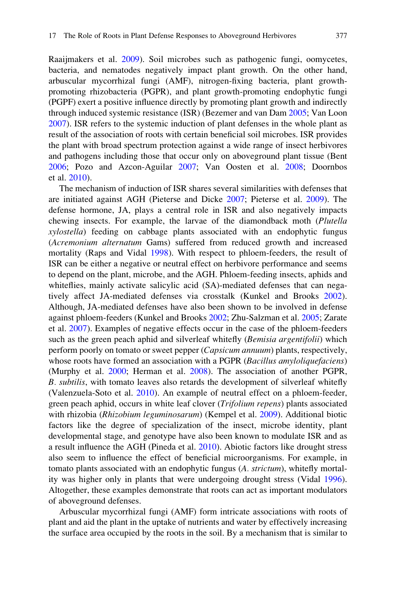Raaijmakers et al. [2009\)](#page-13-0). Soil microbes such as pathogenic fungi, oomycetes, bacteria, and nematodes negatively impact plant growth. On the other hand, arbuscular mycorrhizal fungi (AMF), nitrogen-fixing bacteria, plant growthpromoting rhizobacteria (PGPR), and plant growth-promoting endophytic fungi (PGPF) exert a positive influence directly by promoting plant growth and indirectly through induced systemic resistance (ISR) (Bezemer and van Dam [2005;](#page-10-0) Van Loon [2007\)](#page-14-0). ISR refers to the systemic induction of plant defenses in the whole plant as result of the association of roots with certain beneficial soil microbes. ISR provides the plant with broad spectrum protection against a wide range of insect herbivores and pathogens including those that occur only on aboveground plant tissue (Bent [2006;](#page-10-0) Pozo and Azcon-Aguilar [2007](#page-13-0); Van Oosten et al. [2008;](#page-14-0) Doornbos et al. [2010](#page-11-0)).

The mechanism of induction of ISR shares several similarities with defenses that are initiated against AGH (Pieterse and Dicke [2007;](#page-13-0) Pieterse et al. [2009\)](#page-13-0). The defense hormone, JA, plays a central role in ISR and also negatively impacts chewing insects. For example, the larvae of the diamondback moth (Plutella xylostella) feeding on cabbage plants associated with an endophytic fungus (Acremonium alternatum Gams) suffered from reduced growth and increased mortality (Raps and Vidal [1998](#page-13-0)). With respect to phloem-feeders, the result of ISR can be either a negative or neutral effect on herbivore performance and seems to depend on the plant, microbe, and the AGH. Phloem-feeding insects, aphids and whiteflies, mainly activate salicylic acid (SA)-mediated defenses that can negatively affect JA-mediated defenses via crosstalk (Kunkel and Brooks [2002\)](#page-12-0). Although, JA-mediated defenses have also been shown to be involved in defense against phloem-feeders (Kunkel and Brooks [2002;](#page-12-0) Zhu-Salzman et al. [2005;](#page-15-0) Zarate et al. [2007\)](#page-15-0). Examples of negative effects occur in the case of the phloem-feeders such as the green peach aphid and silverleaf whitefly *(Bemisia argentifolii)* which perform poorly on tomato or sweet pepper (Capsicum annuum) plants, respectively, whose roots have formed an association with a PGPR (Bacillus amyloliquefaciens) (Murphy et al. [2000](#page-13-0); Herman et al. [2008\)](#page-11-0). The association of another PGPR, B. subtilis, with tomato leaves also retards the development of silverleaf whitefly (Valenzuela-Soto et al. [2010](#page-14-0)). An example of neutral effect on a phloem-feeder, green peach aphid, occurs in white leaf clover (Trifolium repens) plants associated with rhizobia (Rhizobium leguminosarum) (Kempel et al. [2009](#page-12-0)). Additional biotic factors like the degree of specialization of the insect, microbe identity, plant developmental stage, and genotype have also been known to modulate ISR and as a result influence the AGH (Pineda et al. [2010](#page-13-0)). Abiotic factors like drought stress also seem to influence the effect of beneficial microorganisms. For example, in tomato plants associated with an endophytic fungus (A. strictum), whitefly mortality was higher only in plants that were undergoing drought stress (Vidal [1996\)](#page-15-0). Altogether, these examples demonstrate that roots can act as important modulators of aboveground defenses.

Arbuscular mycorrhizal fungi (AMF) form intricate associations with roots of plant and aid the plant in the uptake of nutrients and water by effectively increasing the surface area occupied by the roots in the soil. By a mechanism that is similar to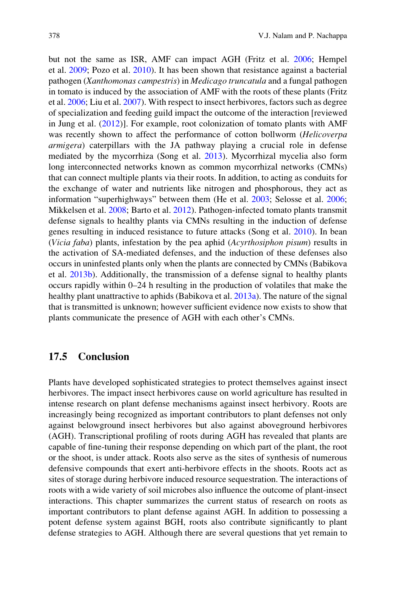but not the same as ISR, AMF can impact AGH (Fritz et al. [2006](#page-11-0); Hempel et al. [2009;](#page-11-0) Pozo et al. [2010\)](#page-13-0). It has been shown that resistance against a bacterial pathogen (Xanthomonas campestris) in Medicago truncatula and a fungal pathogen in tomato is induced by the association of AMF with the roots of these plants (Fritz et al. [2006;](#page-11-0) Liu et al. [2007\)](#page-12-0). With respect to insect herbivores, factors such as degree of specialization and feeding guild impact the outcome of the interaction [reviewed in Jung et al.  $(2012)$  $(2012)$ ]. For example, root colonization of tomato plants with AMF was recently shown to affect the performance of cotton bollworm (Helicoverpa armigera) caterpillars with the JA pathway playing a crucial role in defense mediated by the mycorrhiza (Song et al. [2013](#page-14-0)). Mycorrhizal mycelia also form long interconnected networks known as common mycorrhizal networks (CMNs) that can connect multiple plants via their roots. In addition, to acting as conduits for the exchange of water and nutrients like nitrogen and phosphorous, they act as information "superhighways" between them (He et al. [2003](#page-11-0); Selosse et al. [2006;](#page-14-0) Mikkelsen et al. [2008](#page-12-0); Barto et al. [2012](#page-10-0)). Pathogen-infected tomato plants transmit defense signals to healthy plants via CMNs resulting in the induction of defense genes resulting in induced resistance to future attacks (Song et al. [2010](#page-14-0)). In bean (Vicia faba) plants, infestation by the pea aphid (Acyrthosiphon pisum) results in the activation of SA-mediated defenses, and the induction of these defenses also occurs in uninfested plants only when the plants are connected by CMNs (Babikova et al. [2013b](#page-10-0)). Additionally, the transmission of a defense signal to healthy plants occurs rapidly within 0–24 h resulting in the production of volatiles that make the healthy plant unattractive to aphids (Babikova et al. [2013a](#page-10-0)). The nature of the signal that is transmitted is unknown; however sufficient evidence now exists to show that plants communicate the presence of AGH with each other's CMNs.

# 17.5 Conclusion

Plants have developed sophisticated strategies to protect themselves against insect herbivores. The impact insect herbivores cause on world agriculture has resulted in intense research on plant defense mechanisms against insect herbivory. Roots are increasingly being recognized as important contributors to plant defenses not only against belowground insect herbivores but also against aboveground herbivores (AGH). Transcriptional profiling of roots during AGH has revealed that plants are capable of fine-tuning their response depending on which part of the plant, the root or the shoot, is under attack. Roots also serve as the sites of synthesis of numerous defensive compounds that exert anti-herbivore effects in the shoots. Roots act as sites of storage during herbivore induced resource sequestration. The interactions of roots with a wide variety of soil microbes also influence the outcome of plant-insect interactions. This chapter summarizes the current status of research on roots as important contributors to plant defense against AGH. In addition to possessing a potent defense system against BGH, roots also contribute significantly to plant defense strategies to AGH. Although there are several questions that yet remain to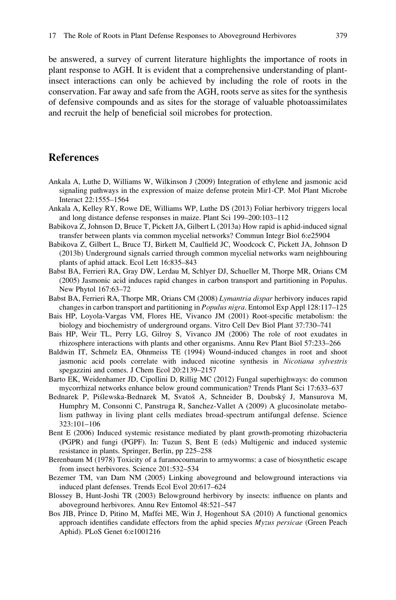<span id="page-10-0"></span>be answered, a survey of current literature highlights the importance of roots in plant response to AGH. It is evident that a comprehensive understanding of plantinsect interactions can only be achieved by including the role of roots in the conservation. Far away and safe from the AGH, roots serve as sites for the synthesis of defensive compounds and as sites for the storage of valuable photoassimilates and recruit the help of beneficial soil microbes for protection.

# References

- Ankala A, Luthe D, Williams W, Wilkinson J (2009) Integration of ethylene and jasmonic acid signaling pathways in the expression of maize defense protein Mir1-CP. Mol Plant Microbe Interact 22:1555–1564
- Ankala A, Kelley RY, Rowe DE, Williams WP, Luthe DS (2013) Foliar herbivory triggers local and long distance defense responses in maize. Plant Sci 199–200:103–112
- Babikova Z, Johnson D, Bruce T, Pickett JA, Gilbert L (2013a) How rapid is aphid-induced signal transfer between plants via common mycelial networks? Commun Integr Biol 6:e25904
- Babikova Z, Gilbert L, Bruce TJ, Birkett M, Caulfield JC, Woodcock C, Pickett JA, Johnson D (2013b) Underground signals carried through common mycelial networks warn neighbouring plants of aphid attack. Ecol Lett 16:835–843
- Babst BA, Ferrieri RA, Gray DW, Lerdau M, Schlyer DJ, Schueller M, Thorpe MR, Orians CM (2005) Jasmonic acid induces rapid changes in carbon transport and partitioning in Populus. New Phytol 167:63–72
- Babst BA, Ferrieri RA, Thorpe MR, Orians CM (2008) Lymantria dispar herbivory induces rapid changes in carbon transport and partitioning in Populus nigra. Entomol Exp Appl 128:117–125
- Bais HP, Loyola-Vargas VM, Flores HE, Vivanco JM (2001) Root-specific metabolism: the biology and biochemistry of underground organs. Vitro Cell Dev Biol Plant 37:730–741
- Bais HP, Weir TL, Perry LG, Gilroy S, Vivanco JM (2006) The role of root exudates in rhizosphere interactions with plants and other organisms. Annu Rev Plant Biol 57:233–266
- Baldwin IT, Schmelz EA, Ohnmeiss TE (1994) Wound-induced changes in root and shoot jasmonic acid pools correlate with induced nicotine synthesis in Nicotiana sylvestris spegazzini and comes. J Chem Ecol 20:2139–2157
- Barto EK, Weidenhamer JD, Cipollini D, Rillig MC (2012) Fungal superhighways: do common mycorrhizal networks enhance below ground communication? Trends Plant Sci 17:633–637
- Bednarek P, Piślewska-Bednarek M, Svatoš A, Schneider B, Doubský J, Mansurova M, Humphry M, Consonni C, Panstruga R, Sanchez-Vallet A (2009) A glucosinolate metabolism pathway in living plant cells mediates broad-spectrum antifungal defense. Science 323:101–106
- Bent E (2006) Induced systemic resistance mediated by plant growth-promoting rhizobacteria (PGPR) and fungi (PGPF). In: Tuzun S, Bent E (eds) Multigenic and induced systemic resistance in plants. Springer, Berlin, pp 225–258
- Berenbaum M (1978) Toxicity of a furanocoumarin to armyworms: a case of biosynthetic escape from insect herbivores. Science 201:532–534
- Bezemer TM, van Dam NM (2005) Linking aboveground and belowground interactions via induced plant defenses. Trends Ecol Evol 20:617–624
- Blossey B, Hunt-Joshi TR (2003) Belowground herbivory by insects: influence on plants and aboveground herbivores. Annu Rev Entomol 48:521–547
- Bos JIB, Prince D, Pitino M, Maffei ME, Win J, Hogenhout SA (2010) A functional genomics approach identifies candidate effectors from the aphid species Myzus persicae (Green Peach Aphid). PLoS Genet 6:e1001216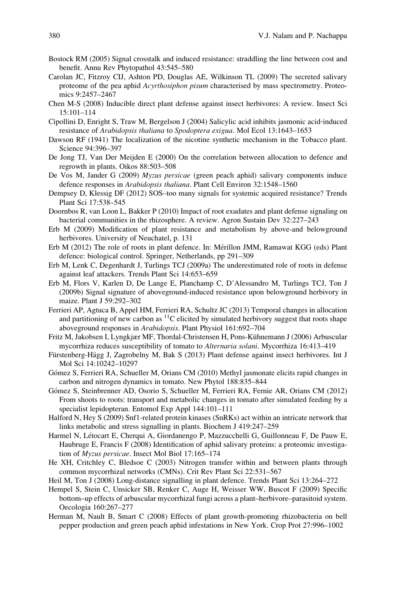- <span id="page-11-0"></span>Bostock RM (2005) Signal crosstalk and induced resistance: straddling the line between cost and benefit. Annu Rev Phytopathol 43:545–580
- Carolan JC, Fitzroy CIJ, Ashton PD, Douglas AE, Wilkinson TL (2009) The secreted salivary proteome of the pea aphid Acyrthosiphon pisum characterised by mass spectrometry. Proteomics 9:2457–2467
- Chen M-S (2008) Inducible direct plant defense against insect herbivores: A review. Insect Sci 15:101–114
- Cipollini D, Enright S, Traw M, Bergelson J (2004) Salicylic acid inhibits jasmonic acid‐induced resistance of Arabidopsis thaliana to Spodoptera exigua. Mol Ecol 13:1643-1653
- Dawson RF (1941) The localization of the nicotine synthetic mechanism in the Tobacco plant. Science 94:396–397
- De Jong TJ, Van Der Meijden E (2000) On the correlation between allocation to defence and regrowth in plants. Oikos 88:503–508
- De Vos M, Jander G (2009) Myzus persicae (green peach aphid) salivary components induce defence responses in Arabidopsis thaliana. Plant Cell Environ 32:1548-1560
- Dempsey D, Klessig DF (2012) SOS–too many signals for systemic acquired resistance? Trends Plant Sci 17:538–545
- Doornbos R, van Loon L, Bakker P (2010) Impact of root exudates and plant defense signaling on bacterial communities in the rhizosphere. A review. Agron Sustain Dev 32:227–243
- Erb M (2009) Modification of plant resistance and metabolism by above-and belowground herbivores. University of Neuchatel, p. 131
- Erb M (2012) The role of roots in plant defence. In: Mérillon JMM, Ramawat KGG (eds) Plant defence: biological control. Springer, Netherlands, pp 291–309
- Erb M, Lenk C, Degenhardt J, Turlings TCJ (2009a) The underestimated role of roots in defense against leaf attackers. Trends Plant Sci 14:653–659
- Erb M, Flors V, Karlen D, De Lange E, Planchamp C, D'Alessandro M, Turlings TCJ, Ton J (2009b) Signal signature of aboveground-induced resistance upon belowground herbivory in maize. Plant J 59:292–302
- Ferrieri AP, Agtuca B, Appel HM, Ferrieri RA, Schultz JC (2013) Temporal changes in allocation and partitioning of new carbon as  ${}^{11}C$  elicited by simulated herbivory suggest that roots shape aboveground responses in Arabidopsis. Plant Physiol 161:692–704
- Fritz M, Jakobsen I, Lyngkjær MF, Thordal-Christensen H, Pons-Kühnemann J (2006) Arbuscular mycorrhiza reduces susceptibility of tomato to Alternaria solani. Mycorrhiza 16:413–419
- Fürstenberg-Hägg J, Zagrobelny M, Bak S (2013) Plant defense against insect herbivores. Int J Mol Sci 14:10242–10297
- Gómez S, Ferrieri RA, Schueller M, Orians CM (2010) Methyl jasmonate elicits rapid changes in carbon and nitrogen dynamics in tomato. New Phytol 188:835–844
- Gómez S, Steinbrenner AD, Osorio S, Schueller M, Ferrieri RA, Fernie AR, Orians CM (2012) From shoots to roots: transport and metabolic changes in tomato after simulated feeding by a specialist lepidopteran. Entomol Exp Appl 144:101–111
- Halford N, Hey S (2009) Snf1-related protein kinases (SnRKs) act within an intricate network that links metabolic and stress signalling in plants. Biochem J 419:247–259
- Harmel N, Létocart E, Cherqui A, Giordanengo P, Mazzucchelli G, Guillonneau F, De Pauw E, Haubruge E, Francis F (2008) Identification of aphid salivary proteins: a proteomic investigation of Myzus persicae. Insect Mol Biol 17:165–174
- He XH, Critchley C, Bledsoe C (2003) Nitrogen transfer within and between plants through common mycorrhizal networks (CMNs). Crit Rev Plant Sci 22:531–567
- Heil M, Ton J (2008) Long-distance signalling in plant defence. Trends Plant Sci 13:264–272
- Hempel S, Stein C, Unsicker SB, Renker C, Auge H, Weisser WW, Buscot F (2009) Specific bottom–up effects of arbuscular mycorrhizal fungi across a plant–herbivore–parasitoid system. Oecologia 160:267–277
- Herman M, Nault B, Smart C (2008) Effects of plant growth-promoting rhizobacteria on bell pepper production and green peach aphid infestations in New York. Crop Prot 27:996–1002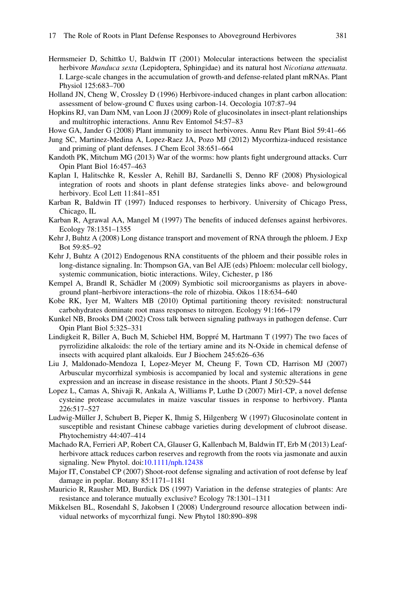- <span id="page-12-0"></span>Hermsmeier D, Schittko U, Baldwin IT (2001) Molecular interactions between the specialist herbivore Manduca sexta (Lepidoptera, Sphingidae) and its natural host Nicotiana attenuata. I. Large-scale changes in the accumulation of growth-and defense-related plant mRNAs. Plant Physiol 125:683–700
- Holland JN, Cheng W, Crossley D (1996) Herbivore-induced changes in plant carbon allocation: assessment of below-ground C fluxes using carbon-14. Oecologia 107:87–94
- Hopkins RJ, van Dam NM, van Loon JJ (2009) Role of glucosinolates in insect-plant relationships and multitrophic interactions. Annu Rev Entomol 54:57–83
- Howe GA, Jander G (2008) Plant immunity to insect herbivores. Annu Rev Plant Biol 59:41–66
- Jung SC, Martinez-Medina A, Lopez-Raez JA, Pozo MJ (2012) Mycorrhiza-induced resistance and priming of plant defenses. J Chem Ecol 38:651–664
- Kandoth PK, Mitchum MG (2013) War of the worms: how plants fight underground attacks. Curr Opin Plant Biol 16:457–463
- Kaplan I, Halitschke R, Kessler A, Rehill BJ, Sardanelli S, Denno RF (2008) Physiological integration of roots and shoots in plant defense strategies links above- and belowground herbivory. Ecol Lett 11:841–851
- Karban R, Baldwin IT (1997) Induced responses to herbivory. University of Chicago Press, Chicago, IL
- Karban R, Agrawal AA, Mangel M (1997) The benefits of induced defenses against herbivores. Ecology 78:1351–1355
- Kehr J, Buhtz A (2008) Long distance transport and movement of RNA through the phloem. J Exp Bot 59:85–92
- Kehr J, Buhtz A (2012) Endogenous RNA constituents of the phloem and their possible roles in long-distance signaling. In: Thompson GA, van Bel AJE (eds) Phloem: molecular cell biology, systemic communication, biotic interactions. Wiley, Cichester, p 186
- Kempel A, Brandl R, Schädler M (2009) Symbiotic soil microorganisms as players in aboveground plant–herbivore interactions–the role of rhizobia. Oikos 118:634–640
- Kobe RK, Iyer M, Walters MB (2010) Optimal partitioning theory revisited: nonstructural carbohydrates dominate root mass responses to nitrogen. Ecology 91:166–179
- Kunkel NB, Brooks DM (2002) Cross talk between signaling pathways in pathogen defense. Curr Opin Plant Biol 5:325–331
- Lindigkeit R, Biller A, Buch M, Schiebel HM, Boppré M, Hartmann T (1997) The two faces of pyrrolizidine alkaloids: the role of the tertiary amine and its N-Oxide in chemical defense of insects with acquired plant alkaloids. Eur J Biochem 245:626–636
- Liu J, Maldonado-Mendoza I, Lopez-Meyer M, Cheung F, Town CD, Harrison MJ (2007) Arbuscular mycorrhizal symbiosis is accompanied by local and systemic alterations in gene expression and an increase in disease resistance in the shoots. Plant J 50:529–544
- Lopez L, Camas A, Shivaji R, Ankala A, Williams P, Luthe D (2007) Mir1-CP, a novel defense cysteine protease accumulates in maize vascular tissues in response to herbivory. Planta 226:517–527
- Ludwig-Müller J, Schubert B, Pieper K, Ihmig S, Hilgenberg W (1997) Glucosinolate content in susceptible and resistant Chinese cabbage varieties during development of clubroot disease. Phytochemistry 44:407–414
- Machado RA, Ferrieri AP, Robert CA, Glauser G, Kallenbach M, Baldwin IT, Erb M (2013) Leaf‐ herbivore attack reduces carbon reserves and regrowth from the roots via jasmonate and auxin signaling. New Phytol. doi:[10.1111/nph.12438](http://dx.doi.org/10.1111/nph.12438)
- Major IT, Constabel CP (2007) Shoot-root defense signaling and activation of root defense by leaf damage in poplar. Botany 85:1171–1181
- Mauricio R, Rausher MD, Burdick DS (1997) Variation in the defense strategies of plants: Are resistance and tolerance mutually exclusive? Ecology 78:1301–1311
- Mikkelsen BL, Rosendahl S, Jakobsen I (2008) Underground resource allocation between individual networks of mycorrhizal fungi. New Phytol 180:890–898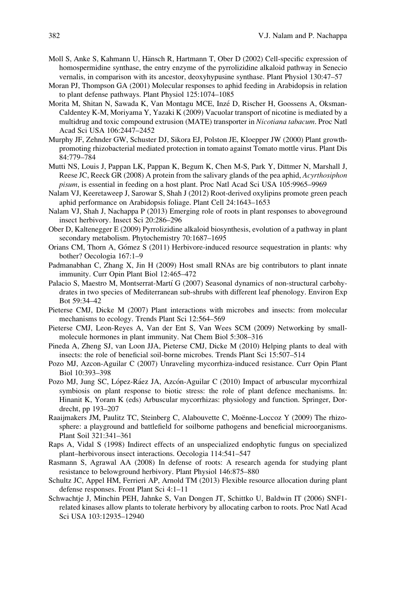- <span id="page-13-0"></span>Moll S, Anke S, Kahmann U, Hänsch R, Hartmann T, Ober D (2002) Cell-specific expression of homospermidine synthase, the entry enzyme of the pyrrolizidine alkaloid pathway in Senecio vernalis, in comparison with its ancestor, deoxyhypusine synthase. Plant Physiol 130:47–57
- Moran PJ, Thompson GA (2001) Molecular responses to aphid feeding in Arabidopsis in relation to plant defense pathways. Plant Physiol 125:1074–1085
- Morita M, Shitan N, Sawada K, Van Montagu MCE, Inzé D, Rischer H, Goossens A, Oksman-Caldentey K-M, Moriyama Y, Yazaki K (2009) Vacuolar transport of nicotine is mediated by a multidrug and toxic compound extrusion (MATE) transporter in Nicotiana tabacum. Proc Natl Acad Sci USA 106:2447–2452
- Murphy JF, Zehnder GW, Schuster DJ, Sikora EJ, Polston JE, Kloepper JW (2000) Plant growthpromoting rhizobacterial mediated protection in tomato against Tomato mottle virus. Plant Dis 84:779–784
- Mutti NS, Louis J, Pappan LK, Pappan K, Begum K, Chen M-S, Park Y, Dittmer N, Marshall J, Reese JC, Reeck GR (2008) A protein from the salivary glands of the pea aphid, Acyrthosiphon pisum, is essential in feeding on a host plant. Proc Natl Acad Sci USA 105:9965–9969
- Nalam VJ, Keeretaweep J, Sarowar S, Shah J (2012) Root-derived oxylipins promote green peach aphid performance on Arabidopsis foliage. Plant Cell 24:1643–1653
- Nalam VJ, Shah J, Nachappa P (2013) Emerging role of roots in plant responses to aboveground insect herbivory. Insect Sci 20:286–296
- Ober D, Kaltenegger E (2009) Pyrrolizidine alkaloid biosynthesis, evolution of a pathway in plant secondary metabolism. Phytochemistry 70:1687–1695
- Orians CM, Thorn A, Gómez S (2011) Herbivore-induced resource sequestration in plants: why bother? Oecologia 167:1–9
- Padmanabhan C, Zhang X, Jin H (2009) Host small RNAs are big contributors to plant innate immunity. Curr Opin Plant Biol 12:465–472
- Palacio S, Maestro M, Montserrat-Martí G (2007) Seasonal dynamics of non-structural carbohydrates in two species of Mediterranean sub-shrubs with different leaf phenology. Environ Exp Bot 59:34–42
- Pieterse CMJ, Dicke M (2007) Plant interactions with microbes and insects: from molecular mechanisms to ecology. Trends Plant Sci 12:564–569
- Pieterse CMJ, Leon-Reyes A, Van der Ent S, Van Wees SCM (2009) Networking by smallmolecule hormones in plant immunity. Nat Chem Biol 5:308–316
- Pineda A, Zheng SJ, van Loon JJA, Pieterse CMJ, Dicke M (2010) Helping plants to deal with insects: the role of beneficial soil-borne microbes. Trends Plant Sci 15:507–514
- Pozo MJ, Azcon-Aguilar C (2007) Unraveling mycorrhiza-induced resistance. Curr Opin Plant Biol 10:393–398
- Pozo MJ, Jung SC, López-Ráez JA, Azcón-Aguilar C (2010) Impact of arbuscular mycorrhizal symbiosis on plant response to biotic stress: the role of plant defence mechanisms. In: Hinanit K, Yoram K (eds) Arbuscular mycorrhizas: physiology and function. Springer, Dordrecht, pp 193–207
- Raaijmakers JM, Paulitz TC, Steinberg C, Alabouvette C, Moënne-Loccoz Y (2009) The rhizosphere: a playground and battlefield for soilborne pathogens and beneficial microorganisms. Plant Soil 321:341–361
- Raps A, Vidal S (1998) Indirect effects of an unspecialized endophytic fungus on specialized plant–herbivorous insect interactions. Oecologia 114:541–547
- Rasmann S, Agrawal AA (2008) In defense of roots: A research agenda for studying plant resistance to belowground herbivory. Plant Physiol 146:875–880
- Schultz JC, Appel HM, Ferrieri AP, Arnold TM (2013) Flexible resource allocation during plant defense responses. Front Plant Sci 4:1–11
- Schwachtje J, Minchin PEH, Jahnke S, Van Dongen JT, Schittko U, Baldwin IT (2006) SNF1 related kinases allow plants to tolerate herbivory by allocating carbon to roots. Proc Natl Acad Sci USA 103:12935–12940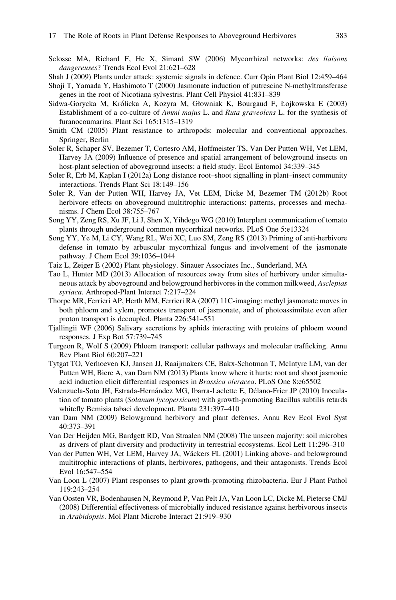<span id="page-14-0"></span>Selosse MA, Richard F, He X, Simard SW (2006) Mycorrhizal networks: des liaisons dangereuses? Trends Ecol Evol 21:621–628

Shah J (2009) Plants under attack: systemic signals in defence. Curr Opin Plant Biol 12:459–464

- Shoji T, Yamada Y, Hashimoto T (2000) Jasmonate induction of putrescine N-methyltransferase genes in the root of Nicotiana sylvestris. Plant Cell Physiol 41:831–839
- Sidwa-Gorycka M, Królicka A, Kozyra M, Głowniak K, Bourgaud F, Łojkowska E (2003) Establishment of a co-culture of Ammi majus L. and Ruta graveolens L. for the synthesis of furanocoumarins. Plant Sci 165:1315–1319
- Smith CM (2005) Plant resistance to arthropods: molecular and conventional approaches. Springer, Berlin
- Soler R, Schaper SV, Bezemer T, Cortesro AM, Hoffmeister TS, Van Der Putten WH, Vet LEM, Harvey JA (2009) Influence of presence and spatial arrangement of belowground insects on host-plant selection of aboveground insects: a field study. Ecol Entomol 34:339–345
- Soler R, Erb M, Kaplan I (2012a) Long distance root–shoot signalling in plant–insect community interactions. Trends Plant Sci 18:149–156
- Soler R, Van der Putten WH, Harvey JA, Vet LEM, Dicke M, Bezemer TM (2012b) Root herbivore effects on aboveground multitrophic interactions: patterns, processes and mechanisms. J Chem Ecol 38:755–767
- Song YY, Zeng RS, Xu JF, Li J, Shen X, Yihdego WG (2010) Interplant communication of tomato plants through underground common mycorrhizal networks. PLoS One 5:e13324
- Song YY, Ye M, Li CY, Wang RL, Wei XC, Luo SM, Zeng RS (2013) Priming of anti-herbivore defense in tomato by arbuscular mycorrhizal fungus and involvement of the jasmonate pathway. J Chem Ecol 39:1036–1044
- Taiz L, Zeiger E (2002) Plant physiology. Sinauer Associates Inc., Sunderland, MA
- Tao L, Hunter MD (2013) Allocation of resources away from sites of herbivory under simultaneous attack by aboveground and belowground herbivores in the common milkweed, Asclepias syriaca. Arthropod-Plant Interact 7:217–224
- Thorpe MR, Ferrieri AP, Herth MM, Ferrieri RA (2007) 11C-imaging: methyl jasmonate moves in both phloem and xylem, promotes transport of jasmonate, and of photoassimilate even after proton transport is decoupled. Planta 226:541–551
- Tjallingii WF (2006) Salivary secretions by aphids interacting with proteins of phloem wound responses. J Exp Bot 57:739–745
- Turgeon R, Wolf S (2009) Phloem transport: cellular pathways and molecular trafficking. Annu Rev Plant Biol 60:207–221
- Tytgat TO, Verhoeven KJ, Jansen JJ, Raaijmakers CE, Bakx-Schotman T, McIntyre LM, van der Putten WH, Biere A, van Dam NM (2013) Plants know where it hurts: root and shoot jasmonic acid induction elicit differential responses in Brassica oleracea. PLoS One 8:e65502
- Valenzuela-Soto JH, Estrada-Hernández MG, Ibarra-Laclette E, Délano-Frier JP (2010) Inoculation of tomato plants (Solanum lycopersicum) with growth-promoting Bacillus subtilis retards whitefly Bemisia tabaci development. Planta 231:397–410
- van Dam NM (2009) Belowground herbivory and plant defenses. Annu Rev Ecol Evol Syst 40:373–391
- Van Der Heijden MG, Bardgett RD, Van Straalen NM (2008) The unseen majority: soil microbes as drivers of plant diversity and productivity in terrestrial ecosystems. Ecol Lett 11:296–310
- Van der Putten WH, Vet LEM, Harvey JA, Wäckers FL (2001) Linking above- and belowground multitrophic interactions of plants, herbivores, pathogens, and their antagonists. Trends Ecol Evol 16:547–554
- Van Loon L (2007) Plant responses to plant growth-promoting rhizobacteria. Eur J Plant Pathol 119:243–254
- Van Oosten VR, Bodenhausen N, Reymond P, Van Pelt JA, Van Loon LC, Dicke M, Pieterse CMJ (2008) Differential effectiveness of microbially induced resistance against herbivorous insects in Arabidopsis. Mol Plant Microbe Interact 21:919–930